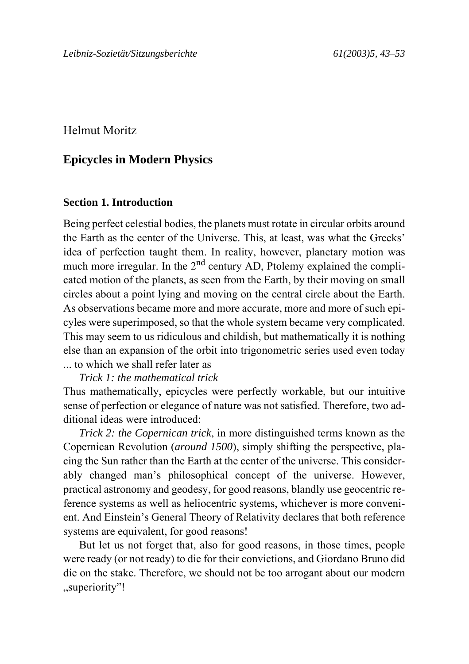Helmut Moritz

# **Epicycles in Modern Physics**

## **Section 1. Introduction**

Being perfect celestial bodies, the planets must rotate in circular orbits around the Earth as the center of the Universe. This, at least, was what the Greeks' idea of perfection taught them. In reality, however, planetary motion was much more irregular. In the  $2<sup>nd</sup>$  century AD, Ptolemy explained the complicated motion of the planets, as seen from the Earth, by their moving on small circles about a point lying and moving on the central circle about the Earth. As observations became more and more accurate, more and more of such epicyles were superimposed, so that the whole system became very complicated. This may seem to us ridiculous and childish, but mathematically it is nothing else than an expansion of the orbit into trigonometric series used even today ... to which we shall refer later as

*Trick 1: the mathematical trick*

Thus mathematically, epicycles were perfectly workable, but our intuitive sense of perfection or elegance of nature was not satisfied. Therefore, two additional ideas were introduced:

*Trick 2: the Copernican trick*, in more distinguished terms known as the Copernican Revolution (*around 1500*), simply shifting the perspective, placing the Sun rather than the Earth at the center of the universe. This considerably changed man's philosophical concept of the universe. However, practical astronomy and geodesy, for good reasons, blandly use geocentric reference systems as well as heliocentric systems, whichever is more convenient. And Einstein's General Theory of Relativity declares that both reference systems are equivalent, for good reasons!

But let us not forget that, also for good reasons, in those times, people were ready (or not ready) to die for their convictions, and Giordano Bruno did die on the stake. Therefore, we should not be too arrogant about our modern .superiority"!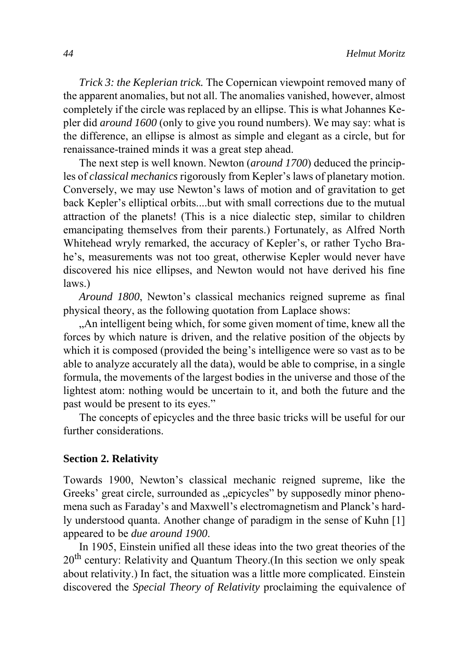*Trick 3: the Keplerian trick.* The Copernican viewpoint removed many of the apparent anomalies, but not all. The anomalies vanished, however, almost completely if the circle was replaced by an ellipse. This is what Johannes Kepler did *around 1600* (only to give you round numbers). We may say: what is the difference, an ellipse is almost as simple and elegant as a circle, but for renaissance-trained minds it was a great step ahead.

The next step is well known. Newton (*around 1700*) deduced the principles of *classical mechanics* rigorously from Kepler's laws of planetary motion. Conversely, we may use Newton's laws of motion and of gravitation to get back Kepler's elliptical orbits....but with small corrections due to the mutual attraction of the planets! (This is a nice dialectic step, similar to children emancipating themselves from their parents.) Fortunately, as Alfred North Whitehead wryly remarked, the accuracy of Kepler's, or rather Tycho Brahe's, measurements was not too great, otherwise Kepler would never have discovered his nice ellipses, and Newton would not have derived his fine laws.)

*Around 1800*, Newton's classical mechanics reigned supreme as final physical theory, as the following quotation from Laplace shows:

"An intelligent being which, for some given moment of time, knew all the forces by which nature is driven, and the relative position of the objects by which it is composed (provided the being's intelligence were so vast as to be able to analyze accurately all the data), would be able to comprise, in a single formula, the movements of the largest bodies in the universe and those of the lightest atom: nothing would be uncertain to it, and both the future and the past would be present to its eyes."

The concepts of epicycles and the three basic tricks will be useful for our further considerations.

## **Section 2. Relativity**

Towards 1900, Newton's classical mechanic reigned supreme, like the Greeks' great circle, surrounded as "epicycles" by supposedly minor phenomena such as Faraday's and Maxwell's electromagnetism and Planck's hardly understood quanta. Another change of paradigm in the sense of Kuhn [1] appeared to be *due around 1900*.

In 1905, Einstein unified all these ideas into the two great theories of the 20<sup>th</sup> century: Relativity and Quantum Theory.(In this section we only speak about relativity.) In fact, the situation was a little more complicated. Einstein discovered the *Special Theory of Relativity* proclaiming the equivalence of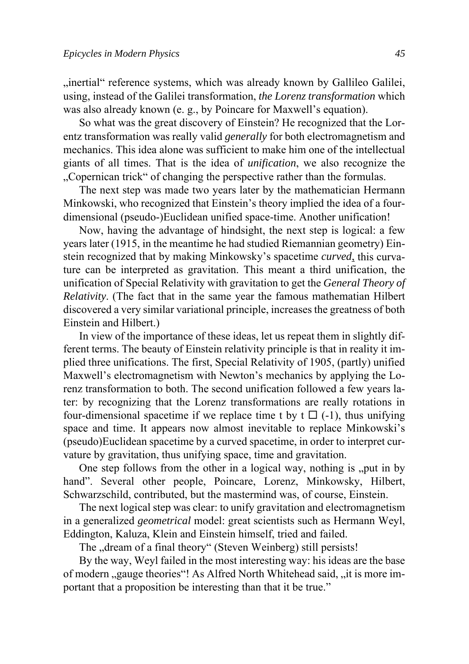"inertial" reference systems, which was already known by Gallileo Galilei, using, instead of the Galilei transformation, *the Lorenz transformation* which was also already known (e. g., by Poincare for Maxwell's equation).

So what was the great discovery of Einstein? He recognized that the Lorentz transformation was really valid *generally* for both electromagnetism and mechanics. This idea alone was sufficient to make him one of the intellectual giants of all times. That is the idea of *unification*, we also recognize the ...Copernican trick of changing the perspective rather than the formulas.

The next step was made two years later by the mathematician Hermann Minkowski, who recognized that Einstein's theory implied the idea of a fourdimensional (pseudo-)Euclidean unified space-time. Another unification!

Now, having the advantage of hindsight, the next step is logical: a few years later (1915, in the meantime he had studied Riemannian geometry) Einstein recognized that by making Minkowsky's spacetime *curved*, this curvature can be interpreted as gravitation. This meant a third unification, the unification of Special Relativity with gravitation to get the *General Theory of Relativity*. (The fact that in the same year the famous mathematian Hilbert discovered a very similar variational principle, increases the greatness of both Einstein and Hilbert.)

In view of the importance of these ideas, let us repeat them in slightly different terms. The beauty of Einstein relativity principle is that in reality it implied three unifications. The first, Special Relativity of 1905, (partly) unified Maxwell's electromagnetism with Newton's mechanics by applying the Lorenz transformation to both. The second unification followed a few years later: by recognizing that the Lorenz transformations are really rotations in four-dimensional spacetime if we replace time t by  $t \square$  (-1), thus unifying space and time. It appears now almost inevitable to replace Minkowski's (pseudo)Euclidean spacetime by a curved spacetime, in order to interpret curvature by gravitation, thus unifying space, time and gravitation.

One step follows from the other in a logical way, nothing is  $\mu$  put in by hand". Several other people, Poincare, Lorenz, Minkowsky, Hilbert, Schwarzschild, contributed, but the mastermind was, of course, Einstein.

The next logical step was clear: to unify gravitation and electromagnetism in a generalized *geometrical* model: great scientists such as Hermann Weyl, Eddington, Kaluza, Klein and Einstein himself, tried and failed.

The "dream of a final theory" (Steven Weinberg) still persists!

By the way, Weyl failed in the most interesting way: his ideas are the base of modern "gauge theories"! As Alfred North Whitehead said, "it is more important that a proposition be interesting than that it be true."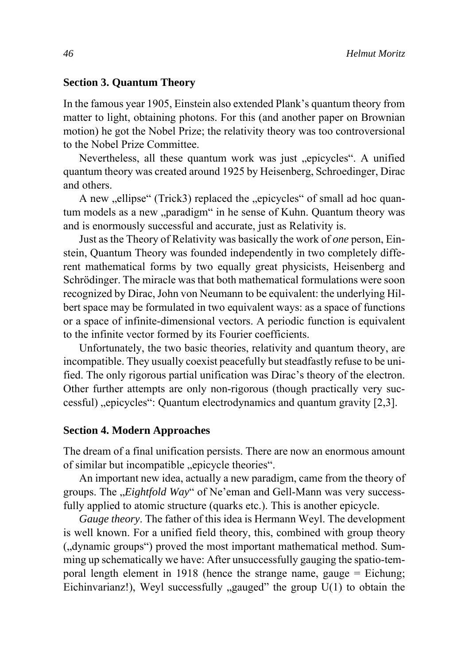## **Section 3. Quantum Theory**

In the famous year 1905, Einstein also extended Plank's quantum theory from matter to light, obtaining photons. For this (and another paper on Brownian motion) he got the Nobel Prize; the relativity theory was too controversional to the Nobel Prize Committee.

Nevertheless, all these quantum work was just "epicycles". A unified quantum theory was created around 1925 by Heisenberg, Schroedinger, Dirac and others.

A new "ellipse" (Trick3) replaced the "epicycles" of small ad hoc quantum models as a new "paradigm" in he sense of Kuhn. Quantum theory was and is enormously successful and accurate, just as Relativity is.

Just as the Theory of Relativity was basically the work of *one* person, Einstein, Quantum Theory was founded independently in two completely different mathematical forms by two equally great physicists, Heisenberg and Schrödinger. The miracle was that both mathematical formulations were soon recognized by Dirac, John von Neumann to be equivalent: the underlying Hilbert space may be formulated in two equivalent ways: as a space of functions or a space of infinite-dimensional vectors. A periodic function is equivalent to the infinite vector formed by its Fourier coefficients.

Unfortunately, the two basic theories, relativity and quantum theory, are incompatible. They usually coexist peacefully but steadfastly refuse to be unified. The only rigorous partial unification was Dirac's theory of the electron. Other further attempts are only non-rigorous (though practically very successful) "epicycles": Quantum electrodynamics and quantum gravity [2,3].

## **Section 4. Modern Approaches**

The dream of a final unification persists. There are now an enormous amount of similar but incompatible "epicycle theories".

An important new idea, actually a new paradigm, came from the theory of groups. The *"Eightfold Way*" of Ne'eman and Gell-Mann was very successfully applied to atomic structure (quarks etc.). This is another epicycle.

*Gauge theory*. The father of this idea is Hermann Weyl. The development is well known. For a unified field theory, this, combined with group theory ("dynamic groups") proved the most important mathematical method. Summing up schematically we have: After unsuccessfully gauging the spatio-temporal length element in 1918 (hence the strange name, gauge = Eichung; Eichinvarianz!), Weyl successfully  $\alpha$  gauged" the group  $U(1)$  to obtain the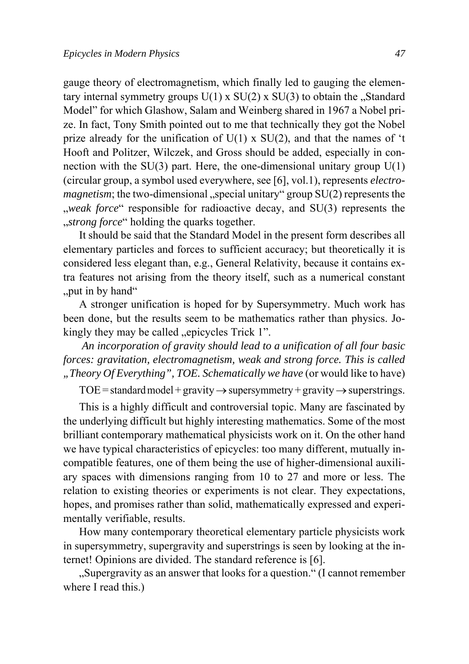gauge theory of electromagnetism, which finally led to gauging the elementary internal symmetry groups  $U(1) \times SU(2) \times SU(3)$  to obtain the "Standard Model" for which Glashow, Salam and Weinberg shared in 1967 a Nobel prize. In fact, Tony Smith pointed out to me that technically they got the Nobel prize already for the unification of  $U(1)$  x  $SU(2)$ , and that the names of 't Hooft and Politzer, Wilczek, and Gross should be added, especially in connection with the  $SU(3)$  part. Here, the one-dimensional unitary group  $U(1)$ (circular group, a symbol used everywhere, see [6], vol.1), represents *electromagnetism*; the two-dimensional "special unitary" group  $SU(2)$  represents the weak force responsible for radioactive decay, and SU(3) represents the "*strong force*" holding the quarks together.

It should be said that the Standard Model in the present form describes all elementary particles and forces to sufficient accuracy; but theoretically it is considered less elegant than, e.g., General Relativity, because it contains extra features not arising from the theory itself, such as a numerical constant ., put in by hand"

A stronger unification is hoped for by Supersymmetry. Much work has been done, but the results seem to be mathematics rather than physics. Jokingly they may be called ..epicycles Trick 1".

*An incorporation of gravity should lead to a unification of all four basic forces: gravitation, electromagnetism, weak and strong force. This is called "Theory Of Everything", TOE. Schematically we have* (or would like to have)

TOE = standard model + gravity  $\rightarrow$  supersymmetry + gravity  $\rightarrow$  superstrings.

This is a highly difficult and controversial topic. Many are fascinated by the underlying difficult but highly interesting mathematics. Some of the most brilliant contemporary mathematical physicists work on it. On the other hand we have typical characteristics of epicycles: too many different, mutually incompatible features, one of them being the use of higher-dimensional auxiliary spaces with dimensions ranging from 10 to 27 and more or less. The relation to existing theories or experiments is not clear. They expectations, hopes, and promises rather than solid, mathematically expressed and experimentally verifiable, results.

How many contemporary theoretical elementary particle physicists work in supersymmetry, supergravity and superstrings is seen by looking at the internet! Opinions are divided. The standard reference is [6].

"Supergravity as an answer that looks for a question." (I cannot remember where I read this.)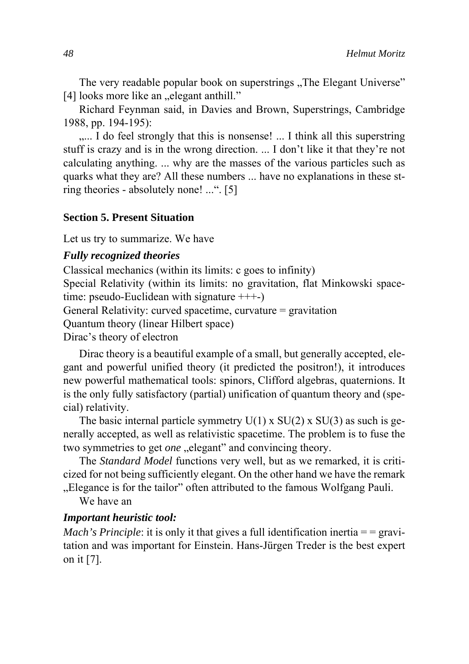The very readable popular book on superstrings . The Elegant Universe" [4] looks more like an "elegant anthill."

Richard Feynman said, in Davies and Brown, Superstrings, Cambridge 1988, pp. 194-195):

..... I do feel strongly that this is nonsense! ... I think all this superstring stuff is crazy and is in the wrong direction. ... I don't like it that they're not calculating anything. ... why are the masses of the various particles such as quarks what they are? All these numbers ... have no explanations in these string theories - absolutely none! ...". [5]

## **Section 5. Present Situation**

Let us try to summarize. We have

### *Fully recognized theories*

Classical mechanics (within its limits: c goes to infinity) Special Relativity (within its limits: no gravitation, flat Minkowski spacetime: pseudo-Euclidean with signature +++-) General Relativity: curved spacetime, curvature = gravitation Quantum theory (linear Hilbert space)

Dirac's theory of electron

Dirac theory is a beautiful example of a small, but generally accepted, elegant and powerful unified theory (it predicted the positron!), it introduces new powerful mathematical tools: spinors, Clifford algebras, quaternions. It is the only fully satisfactory (partial) unification of quantum theory and (special) relativity.

The basic internal particle symmetry  $U(1)$  x  $SU(2)$  x  $SU(3)$  as such is generally accepted, as well as relativistic spacetime. The problem is to fuse the two symmetries to get *one* "elegant" and convincing theory.

The *Standard Model* functions very well, but as we remarked, it is criticized for not being sufficiently elegant. On the other hand we have the remark . Elegance is for the tailor" often attributed to the famous Wolfgang Pauli.

We have an

#### *Important heuristic tool:*

*Mach's Principle*: it is only it that gives a full identification inertia  $=$  = gravitation and was important for Einstein. Hans-Jürgen Treder is the best expert on it [7].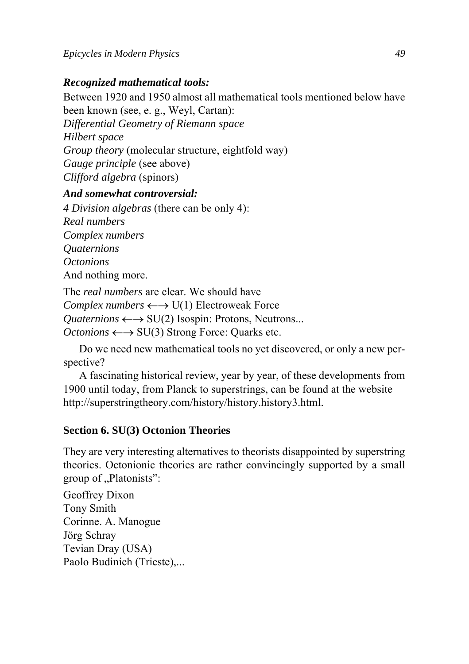## *Recognized mathematical tools:*

Between 1920 and 1950 almost all mathematical tools mentioned below have been known (see, e. g., Weyl, Cartan):

*Differential Geometry of Riemann space*

*Hilbert space* 

*Group theory* (molecular structure, eightfold way)

*Gauge principle* (see above)

*Clifford algebra* (spinors)

## *And somewhat controversial:*

*4 Division algebras* (there can be only 4): *Real numbers Complex numbers Quaternions Octonions* And nothing more.

The *real numbers* are clear. We should have *Complex numbers* ←→ U(1) Electroweak Force *Quaternions* ←→ SU(2) Isospin: Protons, Neutrons... *Octonions* ←→ SU(3) Strong Force: Quarks etc.

Do we need new mathematical tools no yet discovered, or only a new perspective?

A fascinating historical review, year by year, of these developments from 1900 until today, from Planck to superstrings, can be found at the website http://superstringtheory.com/history/history.history3.html.

# **Section 6. SU(3) Octonion Theories**

They are very interesting alternatives to theorists disappointed by superstring theories. Octonionic theories are rather convincingly supported by a small group of "Platonists":

Geoffrey Dixon Tony Smith Corinne. A. Manogue Jörg Schray Tevian Dray (USA) Paolo Budinich (Trieste),...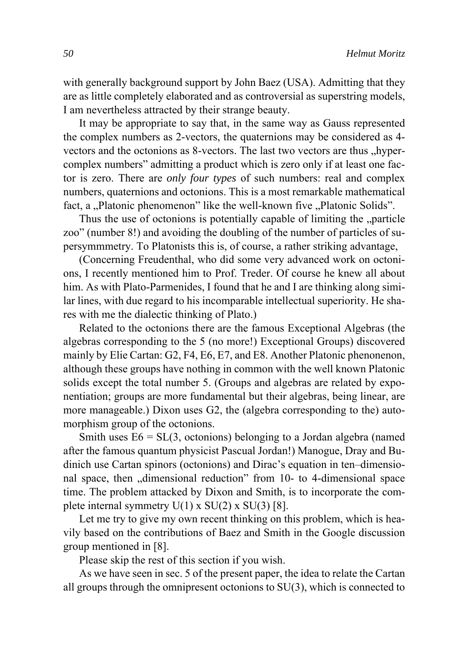with generally background support by John Baez (USA). Admitting that they are as little completely elaborated and as controversial as superstring models, I am nevertheless attracted by their strange beauty.

It may be appropriate to say that, in the same way as Gauss represented the complex numbers as 2-vectors, the quaternions may be considered as 4 vectors and the octonions as 8-vectors. The last two vectors are thus "hypercomplex numbers" admitting a product which is zero only if at least one factor is zero. There are *only four types* of such numbers: real and complex numbers, quaternions and octonions. This is a most remarkable mathematical fact, a "Platonic phenomenon" like the well-known five "Platonic Solids".

Thus the use of octonions is potentially capable of limiting the "particle zoo" (number 8!) and avoiding the doubling of the number of particles of supersymmmetry. To Platonists this is, of course, a rather striking advantage,

(Concerning Freudenthal, who did some very advanced work on octonions, I recently mentioned him to Prof. Treder. Of course he knew all about him. As with Plato-Parmenides, I found that he and I are thinking along similar lines, with due regard to his incomparable intellectual superiority. He shares with me the dialectic thinking of Plato.)

Related to the octonions there are the famous Exceptional Algebras (the algebras corresponding to the 5 (no more!) Exceptional Groups) discovered mainly by Elie Cartan: G2, F4, E6, E7, and E8. Another Platonic phenonenon, although these groups have nothing in common with the well known Platonic solids except the total number 5. (Groups and algebras are related by exponentiation; groups are more fundamental but their algebras, being linear, are more manageable.) Dixon uses G2, the (algebra corresponding to the) automorphism group of the octonions.

Smith uses  $E6 = SL(3, octonions)$  belonging to a Jordan algebra (named after the famous quantum physicist Pascual Jordan!) Manogue, Dray and Budinich use Cartan spinors (octonions) and Dirac's equation in ten–dimensional space, then "dimensional reduction" from 10- to 4-dimensional space time. The problem attacked by Dixon and Smith, is to incorporate the complete internal symmetry  $U(1)$  x  $SU(2)$  x  $SU(3)$  [8].

Let me try to give my own recent thinking on this problem, which is heavily based on the contributions of Baez and Smith in the Google discussion group mentioned in [8].

Please skip the rest of this section if you wish.

As we have seen in sec. 5 of the present paper, the idea to relate the Cartan all groups through the omnipresent octonions to SU(3), which is connected to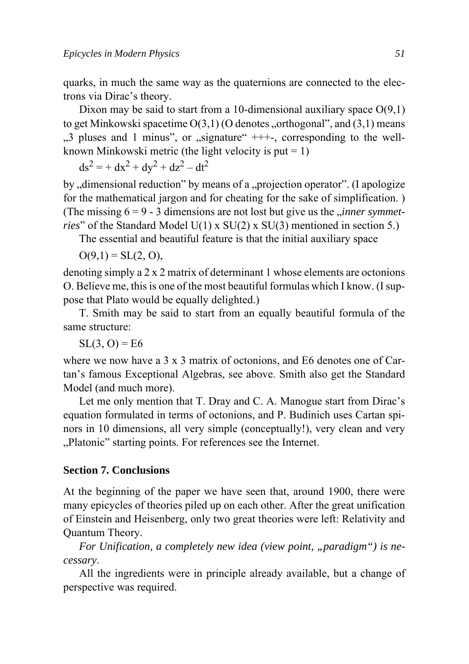quarks, in much the same way as the quaternions are connected to the electrons via Dirac's theory.

Dixon may be said to start from a 10-dimensional auxiliary space  $O(9.1)$ to get Minkowski spacetime  $O(3,1)$  (O denotes , orthogonal", and  $(3,1)$  means  $,3$  pluses and 1 minus", or  $,$  signature"  $+++$ , corresponding to the wellknown Minkowski metric (the light velocity is put  $= 1$ )

 $ds^2 = + dx^2 + dy^2 + dz^2 - dt^2$ 

by "dimensional reduction" by means of a "projection operator". (I apologize for the mathematical jargon and for cheating for the sake of simplification. ) (The missing  $6 = 9 - 3$  dimensions are not lost but give us the *<sub>r</sub>inner symmetries*" of the Standard Model U(1) x SU(2) x SU(3) mentioned in section 5.)

The essential and beautiful feature is that the initial auxiliary space

 $O(9,1) = SL(2, 0),$ 

denoting simply a 2 x 2 matrix of determinant 1 whose elements are octonions O. Believe me, this is one of the most beautiful formulas which I know. (I suppose that Plato would be equally delighted.)

T. Smith may be said to start from an equally beautiful formula of the same structure:

 $SL(3, 0) = E6$ 

where we now have a 3 x 3 matrix of octonions, and E6 denotes one of Cartan's famous Exceptional Algebras, see above. Smith also get the Standard Model (and much more).

Let me only mention that T. Dray and C. A. Manogue start from Dirac's equation formulated in terms of octonions, and P. Budinich uses Cartan spinors in 10 dimensions, all very simple (conceptually!), very clean and very "Platonic" starting points. For references see the Internet.

## **Section 7. Conclusions**

At the beginning of the paper we have seen that, around 1900, there were many epicycles of theories piled up on each other. After the great unification of Einstein and Heisenberg, only two great theories were left: Relativity and Quantum Theory.

*For Unification, a completely new idea (view point, "paradigm") is necessary*.

All the ingredients were in principle already available, but a change of perspective was required.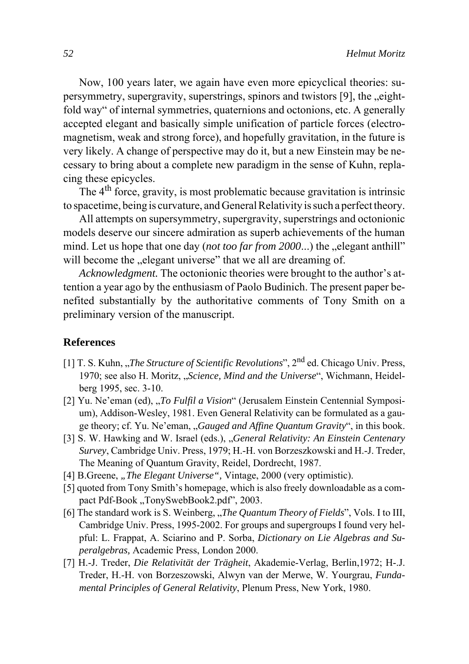Now, 100 years later, we again have even more epicyclical theories: supersymmetry, supergravity, superstrings, spinors and twistors  $[9]$ , the  $\text{left}$ fold way" of internal symmetries, quaternions and octonions, etc. A generally accepted elegant and basically simple unification of particle forces (electromagnetism, weak and strong force), and hopefully gravitation, in the future is very likely. A change of perspective may do it, but a new Einstein may be necessary to bring about a complete new paradigm in the sense of Kuhn, replacing these epicycles.

The  $4<sup>th</sup>$  force, gravity, is most problematic because gravitation is intrinsic to spacetime, being is curvature, and General Relativity is such a perfect theory.

All attempts on supersymmetry, supergravity, superstrings and octonionic models deserve our sincere admiration as superb achievements of the human mind. Let us hope that one day (*not too far from 2000*...) the "elegant anthill" will become the "elegant universe" that we all are dreaming of.

*Acknowledgment.* The octonionic theories were brought to the author's attention a year ago by the enthusiasm of Paolo Budinich. The present paper benefited substantially by the authoritative comments of Tony Smith on a preliminary version of the manuscript.

## **References**

- [1] T. S. Kuhn, *The Structure of Scientific Revolutions*", 2<sup>nd</sup> ed. Chicago Univ. Press, 1970; see also H. Moritz, "*Science, Mind and the Universe*", Wichmann, Heidelberg 1995, sec. 3-10.
- [2] Yu. Ne'eman (ed), "*To Fulfil a Vision*" (Jerusalem Einstein Centennial Symposium), Addison-Wesley, 1981. Even General Relativity can be formulated as a gauge theory; cf. Yu. Ne'eman, "*Gauged and Affine Quantum Gravity*", in this book.
- [3] S. W. Hawking and W. Israel (eds.), "*General Relativity: An Einstein Centenary Survey*, Cambridge Univ. Press, 1979; H.-H. von Borzeszkowski and H.-J. Treder, The Meaning of Quantum Gravity, Reidel, Dordrecht, 1987.
- [4] B.Greene, "*The Elegant Universe"*, Vintage, 2000 (very optimistic).
- [5] quoted from Tony Smith's homepage, which is also freely downloadable as a compact Pdf-Book "TonySwebBook2.pdf", 2003.
- [6] The standard work is S. Weinberg, *"The Quantum Theory of Fields*", Vols. I to III, Cambridge Univ. Press, 1995-2002. For groups and supergroups I found very helpful: L. Frappat, A. Sciarino and P. Sorba, *Dictionary on Lie Algebras and Superalgebras,* Academic Press, London 2000.
- [7] H.-J. Treder, *Die Relativität der Trägheit*, Akademie-Verlag, Berlin,1972; H-.J. Treder, H.-H. von Borzeszowski, Alwyn van der Merwe, W. Yourgrau, *Fundamental Principles of General Relativity*, Plenum Press, New York, 1980.